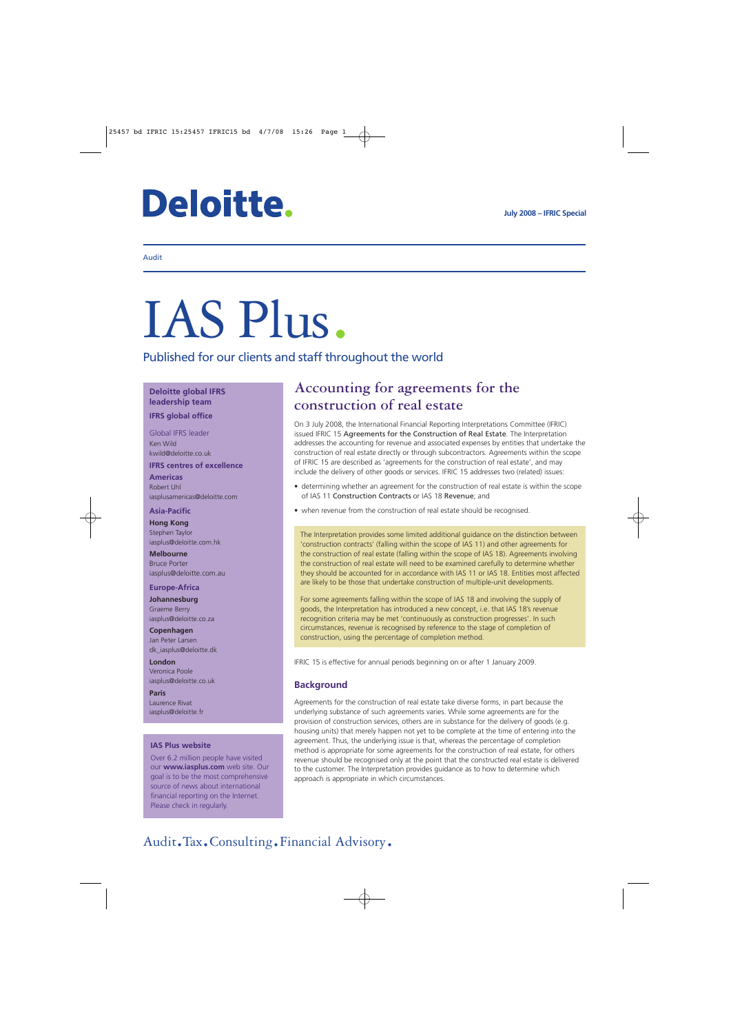# **Deloitte.**

#### Audit

# IAS Plus.

Published for our clients and staff throughout the world

**Deloitte global IFRS leadership team**

**IFRS global office**

Global IFRS leader Ken Wild kwild@deloitte.co.uk **IFRS centres of excellence**

**Americas** Robert Uhl iasplusamericas@deloitte.com

#### **Asia-Pacific**

**Hong Kong** Stephen Taylor iasplus@deloitte.com.hk

**Melbourne** Bruce Porter iasplus@deloitte.com.au

#### **Europe-Africa**

**Johannesburg** Graeme Berry iasplus@deloitte.co.za

**Copenhagen** Jan Peter Larsen dk\_iasplus@deloitte.dk

**London** Veronica Poole iasplus@deloitte.co.uk

**Paris** Laurence Rivat iasplus@deloitte.fr

#### **IAS Plus website**

Over 6.2 million people have visited our **www.iasplus.com** web site. Our goal is to be the most comprehensive source of news about international financial reporting on the Internet. Please check in regularly.

### **Accounting for agreements for the construction of real estate**

On 3 July 2008, the International Financial Reporting Interpretations Committee (IFRIC) issued IFRIC 15 Agreements for the Construction of Real Estate. The Interpretation addresses the accounting for revenue and associated expenses by entities that undertake the construction of real estate directly or through subcontractors. Agreements within the scope of IFRIC 15 are described as 'agreements for the construction of real estate', and may include the delivery of other goods or services. IFRIC 15 addresses two (related) issues:

- determining whether an agreement for the construction of real estate is within the scope of IAS 11 Construction Contracts or IAS 18 Revenue; and
- when revenue from the construction of real estate should be recognised.

The Interpretation provides some limited additional guidance on the distinction between 'construction contracts' (falling within the scope of IAS 11) and other agreements for the construction of real estate (falling within the scope of IAS 18). Agreements involving the construction of real estate will need to be examined carefully to determine whether they should be accounted for in accordance with IAS 11 or IAS 18. Entities most affected are likely to be those that undertake construction of multiple-unit developments.

For some agreements falling within the scope of IAS 18 and involving the supply of goods, the Interpretation has introduced a new concept, i.e. that IAS 18's revenue recognition criteria may be met 'continuously as construction progresses'. In such circumstances, revenue is recognised by reference to the stage of completion of construction, using the percentage of completion method.

IFRIC 15 is effective for annual periods beginning on or after 1 January 2009.

#### **Background**

Agreements for the construction of real estate take diverse forms, in part because the underlying substance of such agreements varies. While some agreements are for the provision of construction services, others are in substance for the delivery of goods (e.g. housing units) that merely happen not yet to be complete at the time of entering into the agreement. Thus, the underlying issue is that, whereas the percentage of completion method is appropriate for some agreements for the construction of real estate, for others revenue should be recognised only at the point that the constructed real estate is delivered to the customer. The Interpretation provides guidance as to how to determine which approach is appropriate in which circumstances.

# Audit.Tax.Consulting.Financial Advisory.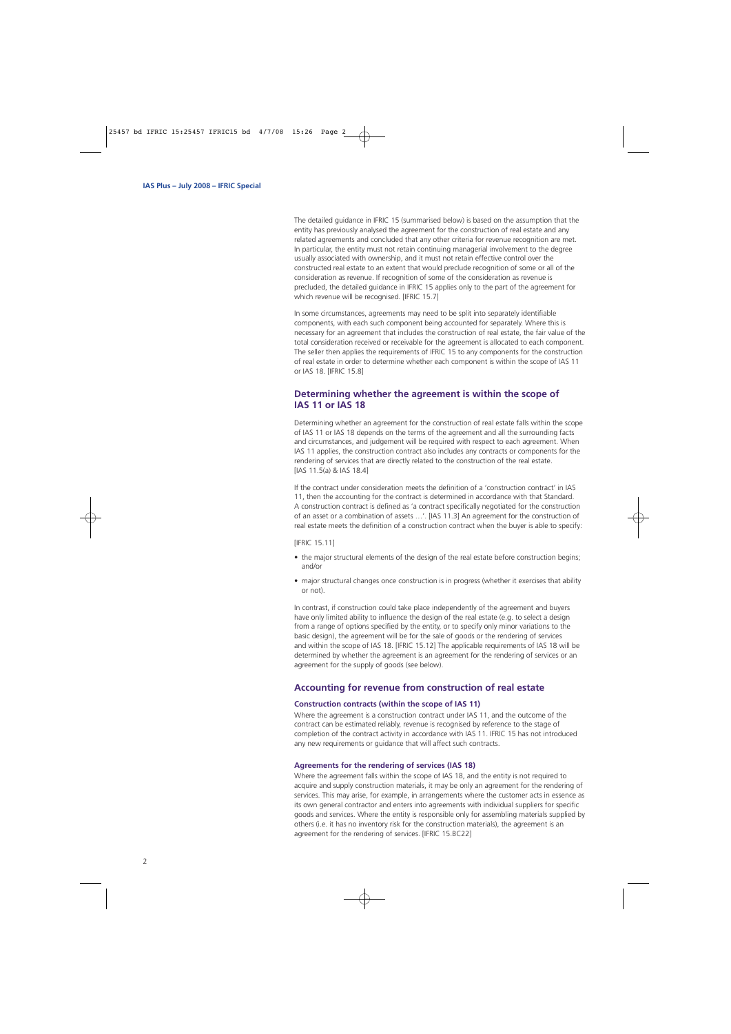The detailed guidance in IFRIC 15 (summarised below) is based on the assumption that the entity has previously analysed the agreement for the construction of real estate and any related agreements and concluded that any other criteria for revenue recognition are met. In particular, the entity must not retain continuing managerial involvement to the degree usually associated with ownership, and it must not retain effective control over the constructed real estate to an extent that would preclude recognition of some or all of the consideration as revenue. If recognition of some of the consideration as revenue is precluded, the detailed guidance in IFRIC 15 applies only to the part of the agreement for which revenue will be recognised. [IFRIC 15.7]

In some circumstances, agreements may need to be split into separately identifiable components, with each such component being accounted for separately. Where this is necessary for an agreement that includes the construction of real estate, the fair value of the total consideration received or receivable for the agreement is allocated to each component. The seller then applies the requirements of IFRIC 15 to any components for the construction of real estate in order to determine whether each component is within the scope of IAS 11 or IAS 18. [IFRIC 15.8]

#### **Determining whether the agreement is within the scope of IAS 11 or IAS 18**

Determining whether an agreement for the construction of real estate falls within the scope of IAS 11 or IAS 18 depends on the terms of the agreement and all the surrounding facts and circumstances, and judgement will be required with respect to each agreement. When IAS 11 applies, the construction contract also includes any contracts or components for the rendering of services that are directly related to the construction of the real estate. [IAS 11.5(a) & IAS 18.4]

If the contract under consideration meets the definition of a 'construction contract' in IAS 11, then the accounting for the contract is determined in accordance with that Standard. A construction contract is defined as 'a contract specifically negotiated for the construction of an asset or a combination of assets …'. [IAS 11.3] An agreement for the construction of real estate meets the definition of a construction contract when the buyer is able to specify:

[IFRIC 15.11]

- the major structural elements of the design of the real estate before construction begins; and/or
- major structural changes once construction is in progress (whether it exercises that ability or not).

In contrast, if construction could take place independently of the agreement and buyers have only limited ability to influence the design of the real estate (e.g. to select a design from a range of options specified by the entity, or to specify only minor variations to the basic design), the agreement will be for the sale of goods or the rendering of services and within the scope of IAS 18. [IFRIC 15.12] The applicable requirements of IAS 18 will be determined by whether the agreement is an agreement for the rendering of services or an agreement for the supply of goods (see below).

#### **Accounting for revenue from construction of real estate**

#### **Construction contracts (within the scope of IAS 11)**

Where the agreement is a construction contract under IAS 11, and the outcome of the contract can be estimated reliably, revenue is recognised by reference to the stage of completion of the contract activity in accordance with IAS 11. IFRIC 15 has not introduced any new requirements or guidance that will affect such contracts.

#### **Agreements for the rendering of services (IAS 18)**

Where the agreement falls within the scope of IAS 18, and the entity is not required to acquire and supply construction materials, it may be only an agreement for the rendering of services. This may arise, for example, in arrangements where the customer acts in essence as its own general contractor and enters into agreements with individual suppliers for specific goods and services. Where the entity is responsible only for assembling materials supplied by others (i.e. it has no inventory risk for the construction materials), the agreement is an agreement for the rendering of services. [IFRIC 15.BC22]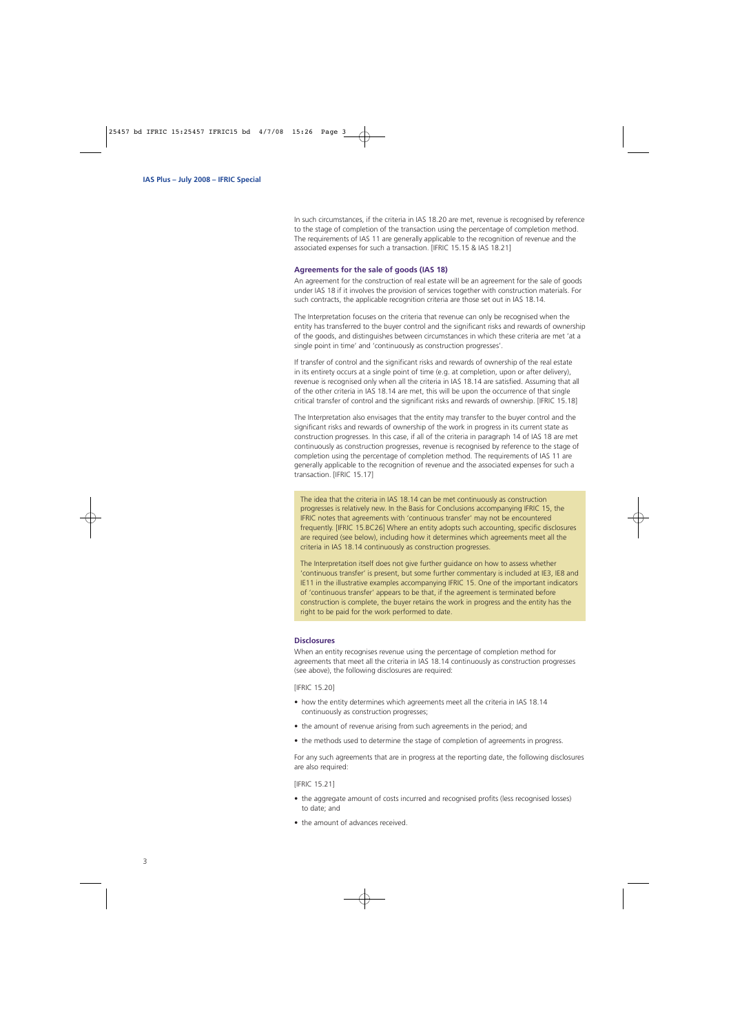In such circumstances, if the criteria in IAS 18.20 are met, revenue is recognised by reference to the stage of completion of the transaction using the percentage of completion method. The requirements of IAS 11 are generally applicable to the recognition of revenue and the associated expenses for such a transaction. [IFRIC 15.15 & IAS 18.21]

#### **Agreements for the sale of goods (IAS 18)**

An agreement for the construction of real estate will be an agreement for the sale of goods under IAS 18 if it involves the provision of services together with construction materials. For such contracts, the applicable recognition criteria are those set out in IAS 18.14.

The Interpretation focuses on the criteria that revenue can only be recognised when the entity has transferred to the buyer control and the significant risks and rewards of ownership of the goods, and distinguishes between circumstances in which these criteria are met 'at a single point in time' and 'continuously as construction progresses'.

If transfer of control and the significant risks and rewards of ownership of the real estate in its entirety occurs at a single point of time (e.g. at completion, upon or after delivery), revenue is recognised only when all the criteria in IAS 18.14 are satisfied. Assuming that all of the other criteria in IAS 18.14 are met, this will be upon the occurrence of that single critical transfer of control and the significant risks and rewards of ownership. [IFRIC 15.18]

The Interpretation also envisages that the entity may transfer to the buyer control and the significant risks and rewards of ownership of the work in progress in its current state as construction progresses. In this case, if all of the criteria in paragraph 14 of IAS 18 are met continuously as construction progresses, revenue is recognised by reference to the stage of completion using the percentage of completion method. The requirements of IAS 11 are generally applicable to the recognition of revenue and the associated expenses for such a transaction. [IFRIC 15.17]

The idea that the criteria in IAS 18.14 can be met continuously as construction progresses is relatively new. In the Basis for Conclusions accompanying IFRIC 15, the IFRIC notes that agreements with 'continuous transfer' may not be encountered frequently. [IFRIC 15.BC26] Where an entity adopts such accounting, specific disclosures are required (see below), including how it determines which agreements meet all the criteria in IAS 18.14 continuously as construction progresses.

The Interpretation itself does not give further guidance on how to assess whether 'continuous transfer' is present, but some further commentary is included at IE3, IE8 and IE11 in the illustrative examples accompanying IFRIC 15. One of the important indicators of 'continuous transfer' appears to be that, if the agreement is terminated before construction is complete, the buyer retains the work in progress and the entity has the right to be paid for the work performed to date.

#### **Disclosures**

When an entity recognises revenue using the percentage of completion method for agreements that meet all the criteria in IAS 18.14 continuously as construction progresses (see above), the following disclosures are required:

[IFRIC 15.20]

- how the entity determines which agreements meet all the criteria in IAS 18.14 continuously as construction progresses;
- the amount of revenue arising from such agreements in the period; and
- the methods used to determine the stage of completion of agreements in progress.

For any such agreements that are in progress at the reporting date, the following disclosures are also required:

[IFRIC 15.21]

- the aggregate amount of costs incurred and recognised profits (less recognised losses) to date; and
- the amount of advances received.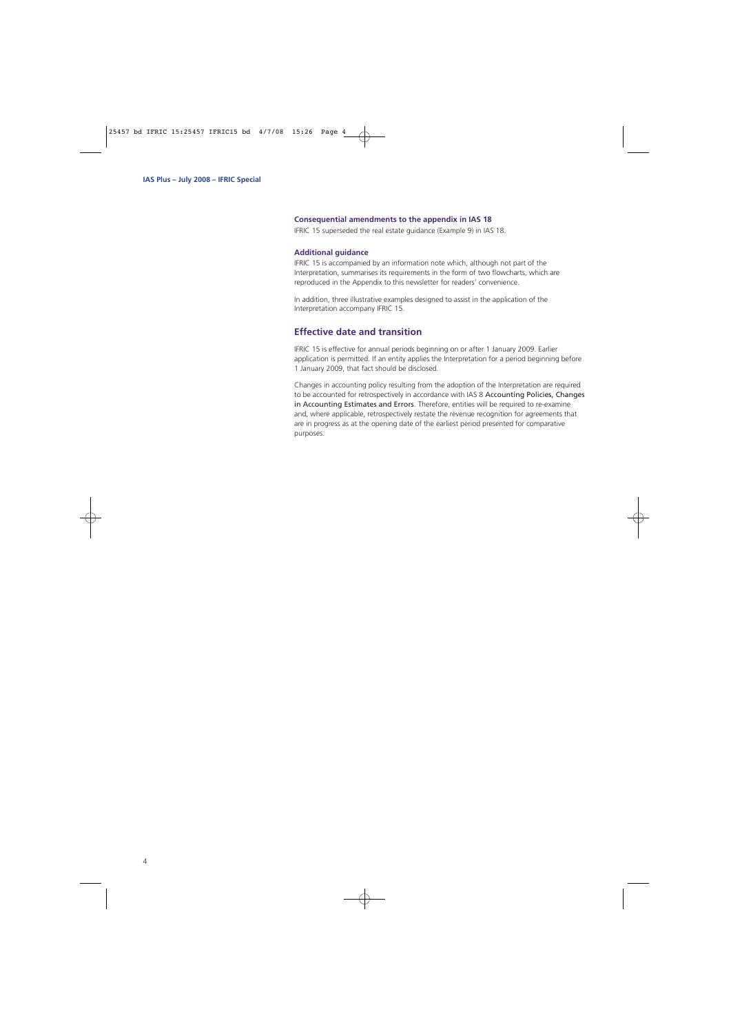#### **Consequential amendments to the appendix in IAS 18**

IFRIC 15 superseded the real estate guidance (Example 9) in IAS 18.

#### **Additional guidance**

IFRIC 15 is accompanied by an information note which, although not part of the Interpretation, summarises its requirements in the form of two flowcharts, which are reproduced in the Appendix to this newsletter for readers' convenience.

In addition, three illustrative examples designed to assist in the application of the Interpretation accompany IFRIC 15.

#### **Effective date and transition**

IFRIC 15 is effective for annual periods beginning on or after 1 January 2009. Earlier application is permitted. If an entity applies the Interpretation for a period beginning before 1 January 2009, that fact should be disclosed.

Changes in accounting policy resulting from the adoption of the Interpretation are required to be accounted for retrospectively in accordance with IAS 8 Accounting Policies, Changes in Accounting Estimates and Errors. Therefore, entities will be required to re-examine and, where applicable, retrospectively restate the revenue recognition for agreements that are in progress as at the opening date of the earliest period presented for comparative purposes.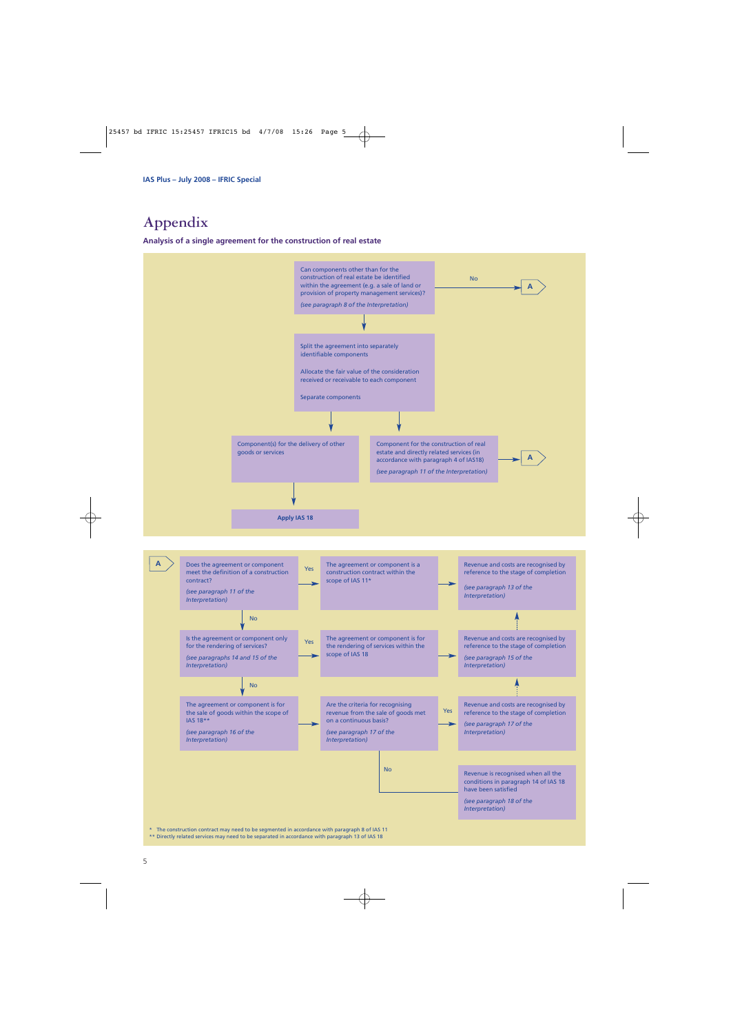## **Appendix**

**Analysis of a single agreement for the construction of real estate**



\* The construction contract may need to be segmented in accordance with paragraph 8 of IAS 11 \*\* Directly related services may need to be separated in accordance with paragraph 13 of IAS 18